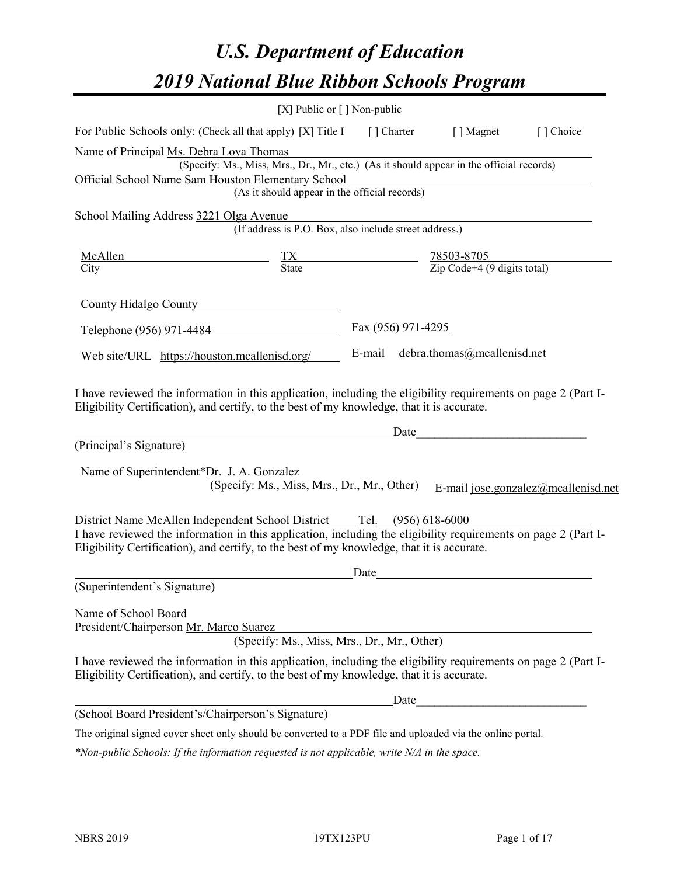# *U.S. Department of Education 2019 National Blue Ribbon Schools Program*

|                                                                                                                                                                                                              | [X] Public or [] Non-public                                                               |                    |      |                                                                                                                                                                                                                               |                                     |
|--------------------------------------------------------------------------------------------------------------------------------------------------------------------------------------------------------------|-------------------------------------------------------------------------------------------|--------------------|------|-------------------------------------------------------------------------------------------------------------------------------------------------------------------------------------------------------------------------------|-------------------------------------|
| For Public Schools only: (Check all that apply) [X] Title I [] Charter [] Magnet                                                                                                                             |                                                                                           |                    |      |                                                                                                                                                                                                                               | [] Choice                           |
| Name of Principal Ms. Debra Loya Thomas<br>Official School Name Sam Houston Elementary School                                                                                                                | (Specify: Ms., Miss, Mrs., Dr., Mr., etc.) (As it should appear in the official records)  |                    |      |                                                                                                                                                                                                                               |                                     |
|                                                                                                                                                                                                              | (As it should appear in the official records)                                             |                    |      |                                                                                                                                                                                                                               |                                     |
| School Mailing Address 3221 Olga Avenue                                                                                                                                                                      | (If address is P.O. Box, also include street address.)                                    |                    |      |                                                                                                                                                                                                                               |                                     |
| <u>McAllen</u>                                                                                                                                                                                               | $\frac{TX}{\text{State}}$ $\frac{78503-8705}{\text{Zip Code}+4 (9 \text{ digits total})}$ |                    |      |                                                                                                                                                                                                                               |                                     |
| $\overline{\mathrm{City}}$                                                                                                                                                                                   |                                                                                           |                    |      |                                                                                                                                                                                                                               |                                     |
| County Hidalgo County                                                                                                                                                                                        |                                                                                           |                    |      |                                                                                                                                                                                                                               |                                     |
| Telephone (956) 971-4484                                                                                                                                                                                     |                                                                                           | Fax (956) 971-4295 |      |                                                                                                                                                                                                                               |                                     |
| Web site/URL https://houston.mcallenisd.org/                                                                                                                                                                 |                                                                                           | E-mail             |      | debra.thomas@mcallenisd.net                                                                                                                                                                                                   |                                     |
| I have reviewed the information in this application, including the eligibility requirements on page 2 (Part I-<br>Eligibility Certification), and certify, to the best of my knowledge, that it is accurate. |                                                                                           |                    |      | Date and the set of the set of the set of the set of the set of the set of the set of the set of the set of the set of the set of the set of the set of the set of the set of the set of the set of the set of the set of the |                                     |
| (Principal's Signature)                                                                                                                                                                                      |                                                                                           |                    |      |                                                                                                                                                                                                                               |                                     |
| Name of Superintendent*Dr. J. A. Gonzalez                                                                                                                                                                    | (Specify: Ms., Miss, Mrs., Dr., Mr., Other)                                               |                    |      |                                                                                                                                                                                                                               | E-mail jose.gonzalez@mcallenisd.net |
|                                                                                                                                                                                                              |                                                                                           |                    |      |                                                                                                                                                                                                                               |                                     |
| I have reviewed the information in this application, including the eligibility requirements on page 2 (Part I-<br>Eligibility Certification), and certify, to the best of my knowledge, that it is accurate. |                                                                                           |                    |      |                                                                                                                                                                                                                               |                                     |
|                                                                                                                                                                                                              |                                                                                           | Date               |      |                                                                                                                                                                                                                               |                                     |
| (Superintendent's Signature)                                                                                                                                                                                 |                                                                                           |                    |      |                                                                                                                                                                                                                               |                                     |
| Name of School Board<br>President/Chairperson Mr. Marco Suarez                                                                                                                                               | (Specify: Ms., Miss, Mrs., Dr., Mr., Other)                                               |                    |      |                                                                                                                                                                                                                               |                                     |
| I have reviewed the information in this application, including the eligibility requirements on page 2 (Part I-<br>Eligibility Certification), and certify, to the best of my knowledge, that it is accurate. |                                                                                           |                    |      |                                                                                                                                                                                                                               |                                     |
|                                                                                                                                                                                                              |                                                                                           |                    | Date |                                                                                                                                                                                                                               |                                     |
| (School Board President's/Chairperson's Signature)                                                                                                                                                           |                                                                                           |                    |      |                                                                                                                                                                                                                               |                                     |
| The original signed cover sheet only should be converted to a PDF file and uploaded via the online portal.                                                                                                   |                                                                                           |                    |      |                                                                                                                                                                                                                               |                                     |

*\*Non-public Schools: If the information requested is not applicable, write N/A in the space.*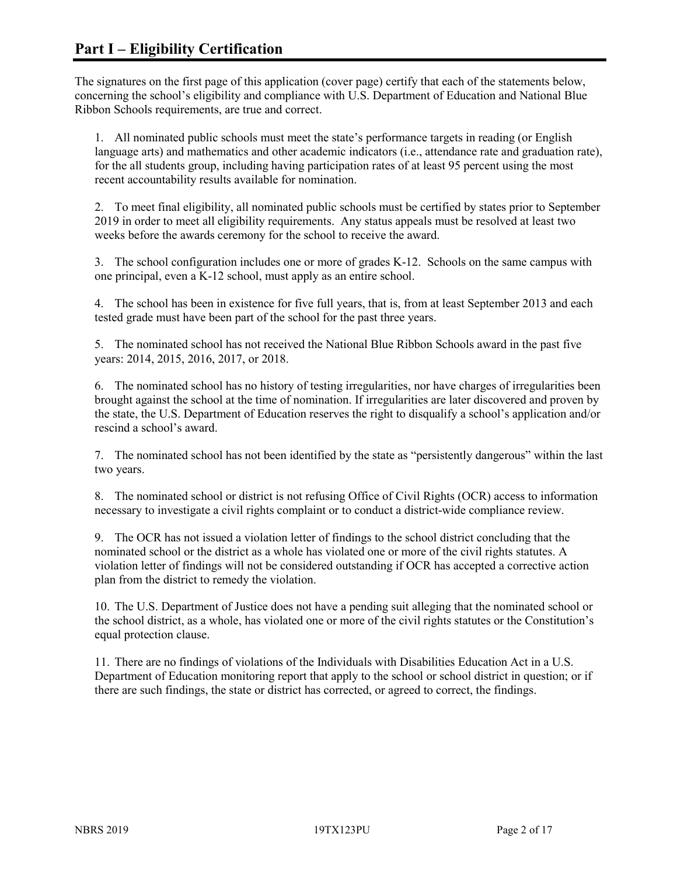The signatures on the first page of this application (cover page) certify that each of the statements below, concerning the school's eligibility and compliance with U.S. Department of Education and National Blue Ribbon Schools requirements, are true and correct.

1. All nominated public schools must meet the state's performance targets in reading (or English language arts) and mathematics and other academic indicators (i.e., attendance rate and graduation rate), for the all students group, including having participation rates of at least 95 percent using the most recent accountability results available for nomination.

2. To meet final eligibility, all nominated public schools must be certified by states prior to September 2019 in order to meet all eligibility requirements. Any status appeals must be resolved at least two weeks before the awards ceremony for the school to receive the award.

3. The school configuration includes one or more of grades K-12. Schools on the same campus with one principal, even a K-12 school, must apply as an entire school.

4. The school has been in existence for five full years, that is, from at least September 2013 and each tested grade must have been part of the school for the past three years.

5. The nominated school has not received the National Blue Ribbon Schools award in the past five years: 2014, 2015, 2016, 2017, or 2018.

6. The nominated school has no history of testing irregularities, nor have charges of irregularities been brought against the school at the time of nomination. If irregularities are later discovered and proven by the state, the U.S. Department of Education reserves the right to disqualify a school's application and/or rescind a school's award.

7. The nominated school has not been identified by the state as "persistently dangerous" within the last two years.

8. The nominated school or district is not refusing Office of Civil Rights (OCR) access to information necessary to investigate a civil rights complaint or to conduct a district-wide compliance review.

9. The OCR has not issued a violation letter of findings to the school district concluding that the nominated school or the district as a whole has violated one or more of the civil rights statutes. A violation letter of findings will not be considered outstanding if OCR has accepted a corrective action plan from the district to remedy the violation.

10. The U.S. Department of Justice does not have a pending suit alleging that the nominated school or the school district, as a whole, has violated one or more of the civil rights statutes or the Constitution's equal protection clause.

11. There are no findings of violations of the Individuals with Disabilities Education Act in a U.S. Department of Education monitoring report that apply to the school or school district in question; or if there are such findings, the state or district has corrected, or agreed to correct, the findings.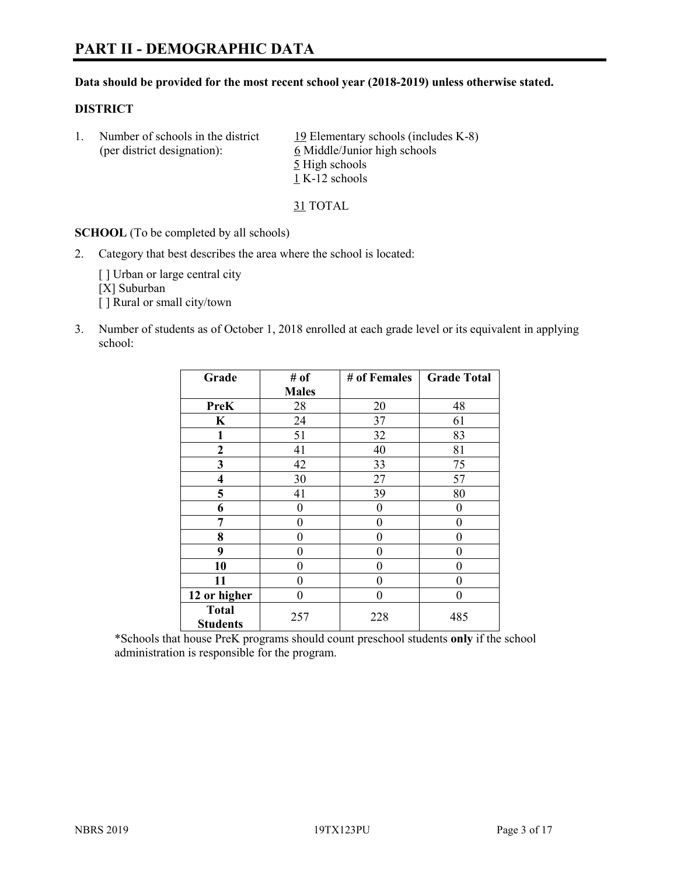# **PART II - DEMOGRAPHIC DATA**

#### **Data should be provided for the most recent school year (2018-2019) unless otherwise stated.**

#### **DISTRICT**

| Number of schools in the district<br>(per district designation): | 19 Elementary schools (includes K-8)<br>6 Middle/Junior high schools |
|------------------------------------------------------------------|----------------------------------------------------------------------|
|                                                                  | 5 High schools                                                       |
|                                                                  | 1 K-12 schools                                                       |

31 TOTAL

**SCHOOL** (To be completed by all schools)

2. Category that best describes the area where the school is located:

[] Urban or large central city [X] Suburban [] Rural or small city/town

3. Number of students as of October 1, 2018 enrolled at each grade level or its equivalent in applying school:

| Grade                           | # of         | # of Females | <b>Grade Total</b> |  |
|---------------------------------|--------------|--------------|--------------------|--|
|                                 | <b>Males</b> |              |                    |  |
| <b>PreK</b>                     | 28           | 20           | 48                 |  |
| $\mathbf K$                     | 24           | 37           | 61                 |  |
| 1                               | 51           | 32           | 83                 |  |
| 2                               | 41           | 40           | 81                 |  |
| 3                               | 42           | 33           | 75                 |  |
| $\overline{\mathbf{4}}$         | 30           | 27           | 57                 |  |
| 5                               | 41           | 39           | 80                 |  |
| 6                               | 0            | $\theta$     | 0                  |  |
| 7                               | 0            | $\theta$     | 0                  |  |
| 8                               | 0            | $\theta$     | 0                  |  |
| 9                               | 0            | $\theta$     | 0                  |  |
| 10                              | 0            | $\theta$     | 0                  |  |
| 11                              | 0            | 0            | 0                  |  |
| 12 or higher                    | 0            | 0            | 0                  |  |
| <b>Total</b><br><b>Students</b> | 257          | 228          | 485                |  |

\*Schools that house PreK programs should count preschool students **only** if the school administration is responsible for the program.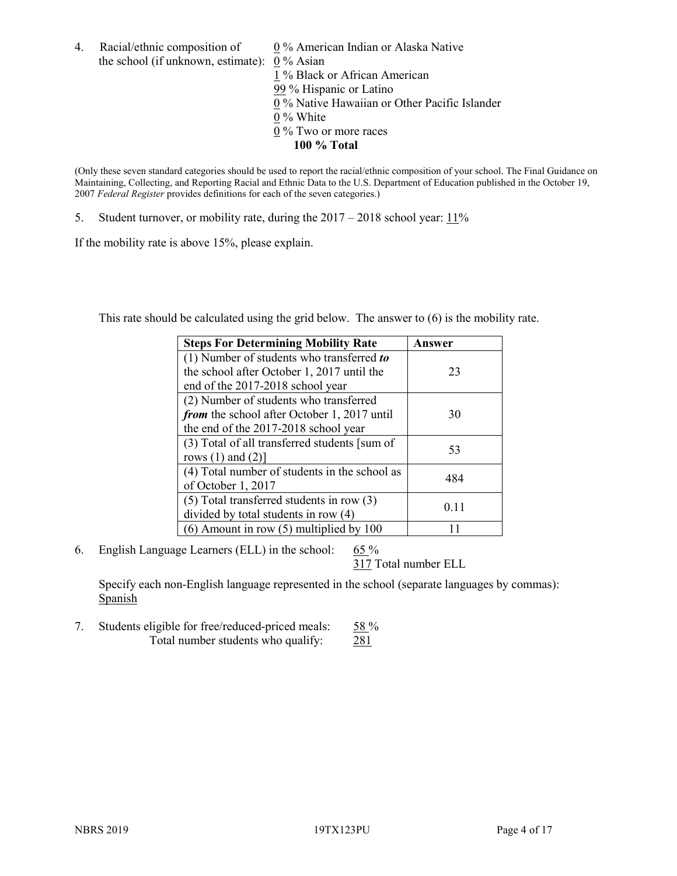4. Racial/ethnic composition of  $0\%$  American Indian or Alaska Native the school (if unknown, estimate): 0 % Asian 1 % Black or African American 99 % Hispanic or Latino  $\overline{0\%}$  Native Hawaiian or Other Pacific Islander 0 % White 0 % Two or more races **100 % Total**

(Only these seven standard categories should be used to report the racial/ethnic composition of your school. The Final Guidance on Maintaining, Collecting, and Reporting Racial and Ethnic Data to the U.S. Department of Education published in the October 19, 2007 *Federal Register* provides definitions for each of the seven categories.)

5. Student turnover, or mobility rate, during the 2017 – 2018 school year: 11%

If the mobility rate is above 15%, please explain.

This rate should be calculated using the grid below. The answer to (6) is the mobility rate.

| <b>Steps For Determining Mobility Rate</b>    | Answer |
|-----------------------------------------------|--------|
| (1) Number of students who transferred to     |        |
| the school after October 1, 2017 until the    | 23     |
| end of the 2017-2018 school year              |        |
| (2) Number of students who transferred        |        |
| from the school after October 1, 2017 until   | 30     |
| the end of the 2017-2018 school year          |        |
| (3) Total of all transferred students [sum of | 53     |
| rows $(1)$ and $(2)$ ]                        |        |
| (4) Total number of students in the school as | 484    |
| of October 1, 2017                            |        |
| $(5)$ Total transferred students in row $(3)$ | 0.11   |
| divided by total students in row (4)          |        |
| $(6)$ Amount in row $(5)$ multiplied by 100   |        |

6. English Language Learners (ELL) in the school:  $65\%$ 

317 Total number ELL

Specify each non-English language represented in the school (separate languages by commas): **Spanish** 

7. Students eligible for free/reduced-priced meals: 58 % Total number students who qualify: 281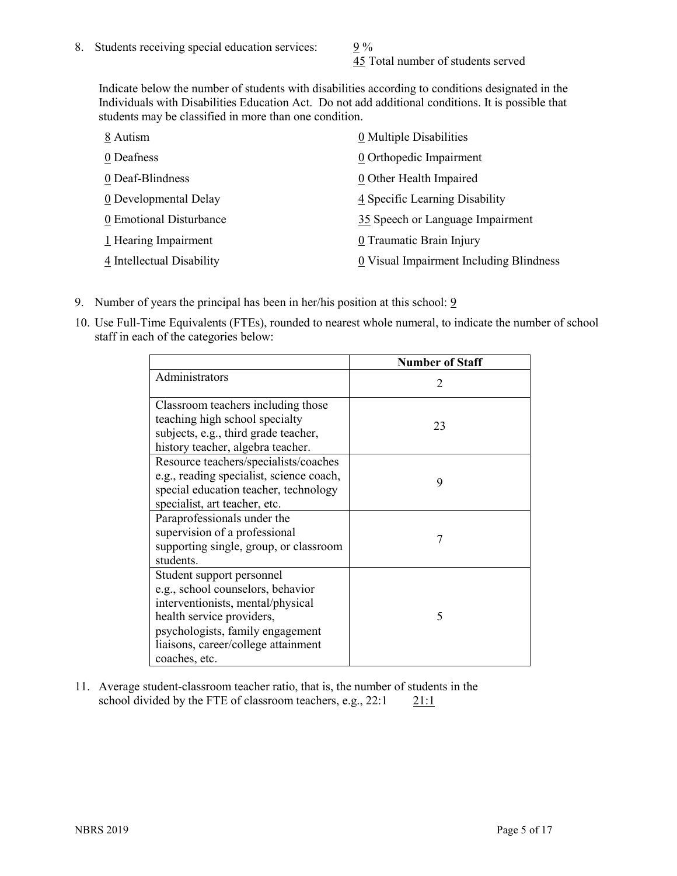45 Total number of students served

Indicate below the number of students with disabilities according to conditions designated in the Individuals with Disabilities Education Act. Do not add additional conditions. It is possible that students may be classified in more than one condition.

| 8 Autism                  | 0 Multiple Disabilities                 |
|---------------------------|-----------------------------------------|
| 0 Deafness                | 0 Orthopedic Impairment                 |
| 0 Deaf-Blindness          | 0 Other Health Impaired                 |
| 0 Developmental Delay     | 4 Specific Learning Disability          |
| 0 Emotional Disturbance   | 35 Speech or Language Impairment        |
| 1 Hearing Impairment      | 0 Traumatic Brain Injury                |
| 4 Intellectual Disability | 0 Visual Impairment Including Blindness |

- 9. Number of years the principal has been in her/his position at this school:  $9$
- 10. Use Full-Time Equivalents (FTEs), rounded to nearest whole numeral, to indicate the number of school staff in each of the categories below:

|                                                                                                                                                                                                                              | <b>Number of Staff</b>      |
|------------------------------------------------------------------------------------------------------------------------------------------------------------------------------------------------------------------------------|-----------------------------|
| Administrators                                                                                                                                                                                                               | $\mathcal{D}_{\mathcal{A}}$ |
| Classroom teachers including those<br>teaching high school specialty<br>subjects, e.g., third grade teacher,<br>history teacher, algebra teacher.                                                                            | 23                          |
| Resource teachers/specialists/coaches<br>e.g., reading specialist, science coach,<br>special education teacher, technology<br>specialist, art teacher, etc.                                                                  | 9                           |
| Paraprofessionals under the<br>supervision of a professional<br>supporting single, group, or classroom<br>students.                                                                                                          | 7                           |
| Student support personnel<br>e.g., school counselors, behavior<br>interventionists, mental/physical<br>health service providers,<br>psychologists, family engagement<br>liaisons, career/college attainment<br>coaches, etc. | 5                           |

11. Average student-classroom teacher ratio, that is, the number of students in the school divided by the FTE of classroom teachers, e.g.,  $22:1$  21:1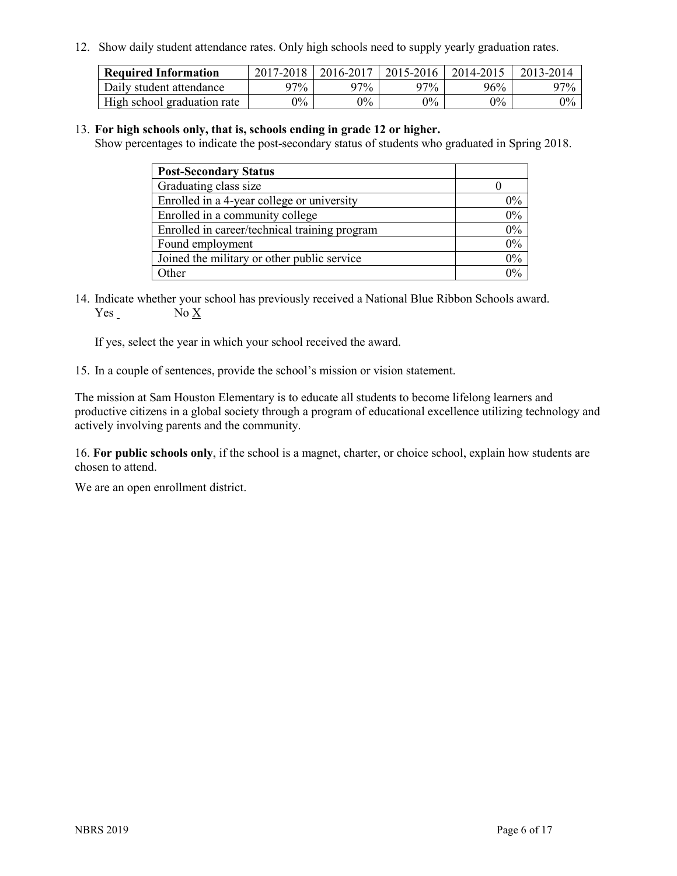12. Show daily student attendance rates. Only high schools need to supply yearly graduation rates.

| <b>Required Information</b> | 2017-2018 | 2016-2017 | 2015-2016 | 2014-2015 | 2013-2014 |
|-----------------------------|-----------|-----------|-----------|-----------|-----------|
| Daily student attendance    | 97%       | 97%       | 97%       | 96%       | $97\%$    |
| High school graduation rate | $0\%$     | $0\%$     | $0\%$     | $9\%$     | $0\%$     |

#### 13. **For high schools only, that is, schools ending in grade 12 or higher.**

Show percentages to indicate the post-secondary status of students who graduated in Spring 2018.

| <b>Post-Secondary Status</b>                  |       |
|-----------------------------------------------|-------|
| Graduating class size                         |       |
| Enrolled in a 4-year college or university    | $0\%$ |
| Enrolled in a community college               | 0%    |
| Enrolled in career/technical training program | 0%    |
| Found employment                              | 0%    |
| Joined the military or other public service   | 0%    |
| Other                                         | $0\%$ |

14. Indicate whether your school has previously received a National Blue Ribbon Schools award. Yes No X

If yes, select the year in which your school received the award.

15. In a couple of sentences, provide the school's mission or vision statement.

The mission at Sam Houston Elementary is to educate all students to become lifelong learners and productive citizens in a global society through a program of educational excellence utilizing technology and actively involving parents and the community.

16. **For public schools only**, if the school is a magnet, charter, or choice school, explain how students are chosen to attend.

We are an open enrollment district.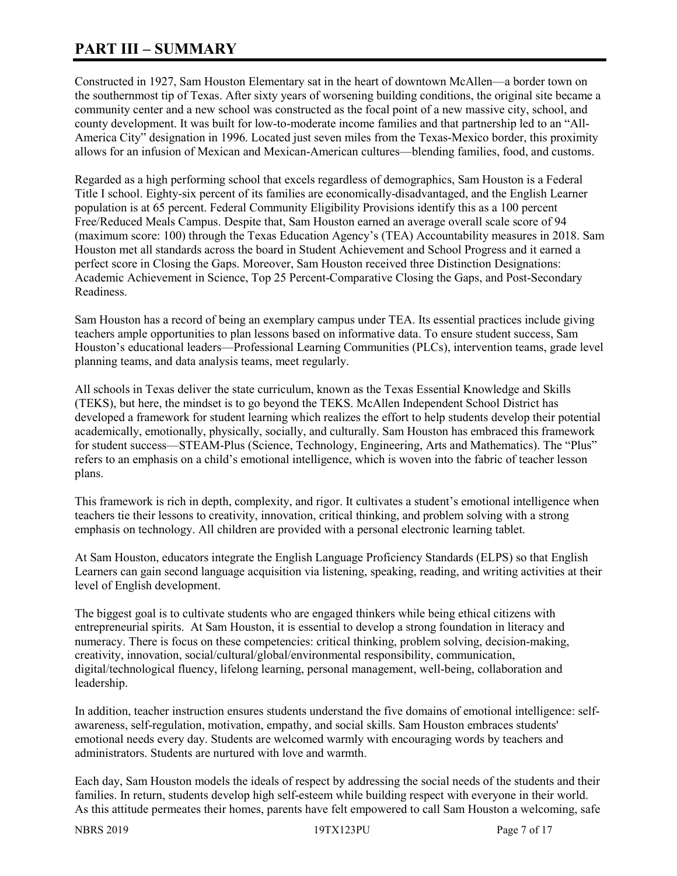# **PART III – SUMMARY**

Constructed in 1927, Sam Houston Elementary sat in the heart of downtown McAllen—a border town on the southernmost tip of Texas. After sixty years of worsening building conditions, the original site became a community center and a new school was constructed as the focal point of a new massive city, school, and county development. It was built for low-to-moderate income families and that partnership led to an "All-America City" designation in 1996. Located just seven miles from the Texas-Mexico border, this proximity allows for an infusion of Mexican and Mexican-American cultures—blending families, food, and customs.

Regarded as a high performing school that excels regardless of demographics, Sam Houston is a Federal Title I school. Eighty-six percent of its families are economically-disadvantaged, and the English Learner population is at 65 percent. Federal Community Eligibility Provisions identify this as a 100 percent Free/Reduced Meals Campus. Despite that, Sam Houston earned an average overall scale score of 94 (maximum score: 100) through the Texas Education Agency's (TEA) Accountability measures in 2018. Sam Houston met all standards across the board in Student Achievement and School Progress and it earned a perfect score in Closing the Gaps. Moreover, Sam Houston received three Distinction Designations: Academic Achievement in Science, Top 25 Percent-Comparative Closing the Gaps, and Post-Secondary Readiness.

Sam Houston has a record of being an exemplary campus under TEA. Its essential practices include giving teachers ample opportunities to plan lessons based on informative data. To ensure student success, Sam Houston's educational leaders—Professional Learning Communities (PLCs), intervention teams, grade level planning teams, and data analysis teams, meet regularly.

All schools in Texas deliver the state curriculum, known as the Texas Essential Knowledge and Skills (TEKS), but here, the mindset is to go beyond the TEKS. McAllen Independent School District has developed a framework for student learning which realizes the effort to help students develop their potential academically, emotionally, physically, socially, and culturally. Sam Houston has embraced this framework for student success—STEAM-Plus (Science, Technology, Engineering, Arts and Mathematics). The "Plus" refers to an emphasis on a child's emotional intelligence, which is woven into the fabric of teacher lesson plans.

This framework is rich in depth, complexity, and rigor. It cultivates a student's emotional intelligence when teachers tie their lessons to creativity, innovation, critical thinking, and problem solving with a strong emphasis on technology. All children are provided with a personal electronic learning tablet.

At Sam Houston, educators integrate the English Language Proficiency Standards (ELPS) so that English Learners can gain second language acquisition via listening, speaking, reading, and writing activities at their level of English development.

The biggest goal is to cultivate students who are engaged thinkers while being ethical citizens with entrepreneurial spirits. At Sam Houston, it is essential to develop a strong foundation in literacy and numeracy. There is focus on these competencies: critical thinking, problem solving, decision-making, creativity, innovation, social/cultural/global/environmental responsibility, communication, digital/technological fluency, lifelong learning, personal management, well-being, collaboration and leadership.

In addition, teacher instruction ensures students understand the five domains of emotional intelligence: selfawareness, self-regulation, motivation, empathy, and social skills. Sam Houston embraces students' emotional needs every day. Students are welcomed warmly with encouraging words by teachers and administrators. Students are nurtured with love and warmth.

Each day, Sam Houston models the ideals of respect by addressing the social needs of the students and their families. In return, students develop high self-esteem while building respect with everyone in their world. As this attitude permeates their homes, parents have felt empowered to call Sam Houston a welcoming, safe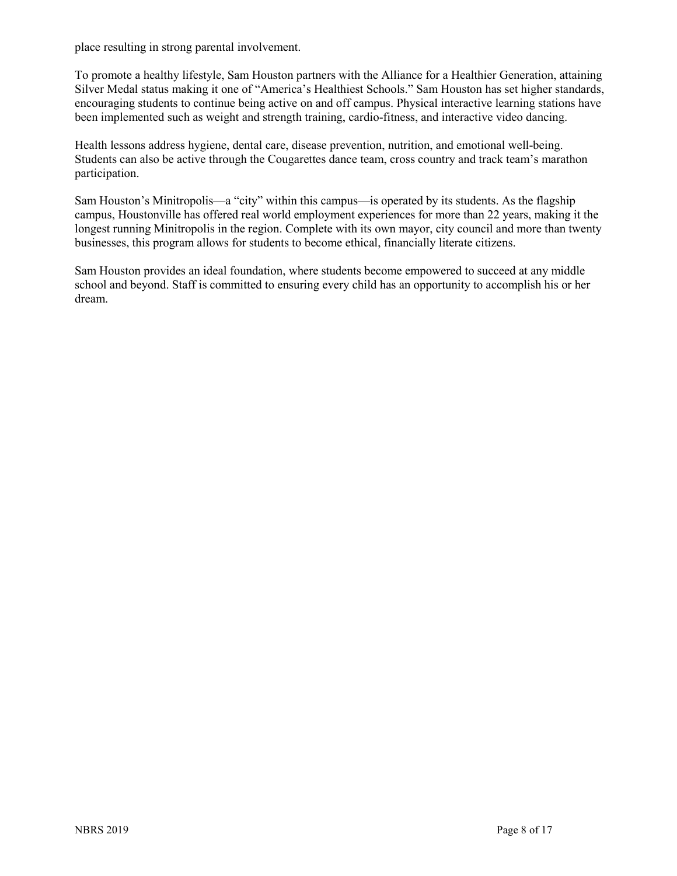place resulting in strong parental involvement.

To promote a healthy lifestyle, Sam Houston partners with the Alliance for a Healthier Generation, attaining Silver Medal status making it one of "America's Healthiest Schools." Sam Houston has set higher standards, encouraging students to continue being active on and off campus. Physical interactive learning stations have been implemented such as weight and strength training, cardio-fitness, and interactive video dancing.

Health lessons address hygiene, dental care, disease prevention, nutrition, and emotional well-being. Students can also be active through the Cougarettes dance team, cross country and track team's marathon participation.

Sam Houston's Minitropolis—a "city" within this campus—is operated by its students. As the flagship campus, Houstonville has offered real world employment experiences for more than 22 years, making it the longest running Minitropolis in the region. Complete with its own mayor, city council and more than twenty businesses, this program allows for students to become ethical, financially literate citizens.

Sam Houston provides an ideal foundation, where students become empowered to succeed at any middle school and beyond. Staff is committed to ensuring every child has an opportunity to accomplish his or her dream.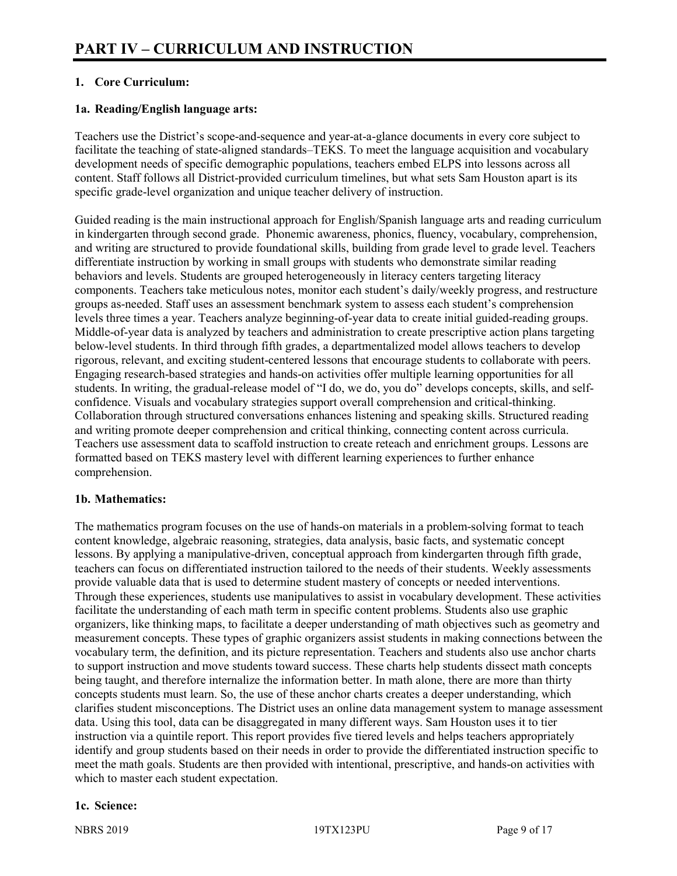# **1. Core Curriculum:**

# **1a. Reading/English language arts:**

Teachers use the District's scope-and-sequence and year-at-a-glance documents in every core subject to facilitate the teaching of state-aligned standards–TEKS. To meet the language acquisition and vocabulary development needs of specific demographic populations, teachers embed ELPS into lessons across all content. Staff follows all District-provided curriculum timelines, but what sets Sam Houston apart is its specific grade-level organization and unique teacher delivery of instruction.

Guided reading is the main instructional approach for English/Spanish language arts and reading curriculum in kindergarten through second grade. Phonemic awareness, phonics, fluency, vocabulary, comprehension, and writing are structured to provide foundational skills, building from grade level to grade level. Teachers differentiate instruction by working in small groups with students who demonstrate similar reading behaviors and levels. Students are grouped heterogeneously in literacy centers targeting literacy components. Teachers take meticulous notes, monitor each student's daily/weekly progress, and restructure groups as-needed. Staff uses an assessment benchmark system to assess each student's comprehension levels three times a year. Teachers analyze beginning-of-year data to create initial guided-reading groups. Middle-of-year data is analyzed by teachers and administration to create prescriptive action plans targeting below-level students. In third through fifth grades, a departmentalized model allows teachers to develop rigorous, relevant, and exciting student-centered lessons that encourage students to collaborate with peers. Engaging research-based strategies and hands-on activities offer multiple learning opportunities for all students. In writing, the gradual-release model of "I do, we do, you do" develops concepts, skills, and selfconfidence. Visuals and vocabulary strategies support overall comprehension and critical-thinking. Collaboration through structured conversations enhances listening and speaking skills. Structured reading and writing promote deeper comprehension and critical thinking, connecting content across curricula. Teachers use assessment data to scaffold instruction to create reteach and enrichment groups. Lessons are formatted based on TEKS mastery level with different learning experiences to further enhance comprehension.

# **1b. Mathematics:**

The mathematics program focuses on the use of hands-on materials in a problem-solving format to teach content knowledge, algebraic reasoning, strategies, data analysis, basic facts, and systematic concept lessons. By applying a manipulative-driven, conceptual approach from kindergarten through fifth grade, teachers can focus on differentiated instruction tailored to the needs of their students. Weekly assessments provide valuable data that is used to determine student mastery of concepts or needed interventions. Through these experiences, students use manipulatives to assist in vocabulary development. These activities facilitate the understanding of each math term in specific content problems. Students also use graphic organizers, like thinking maps, to facilitate a deeper understanding of math objectives such as geometry and measurement concepts. These types of graphic organizers assist students in making connections between the vocabulary term, the definition, and its picture representation. Teachers and students also use anchor charts to support instruction and move students toward success. These charts help students dissect math concepts being taught, and therefore internalize the information better. In math alone, there are more than thirty concepts students must learn. So, the use of these anchor charts creates a deeper understanding, which clarifies student misconceptions. The District uses an online data management system to manage assessment data. Using this tool, data can be disaggregated in many different ways. Sam Houston uses it to tier instruction via a quintile report. This report provides five tiered levels and helps teachers appropriately identify and group students based on their needs in order to provide the differentiated instruction specific to meet the math goals. Students are then provided with intentional, prescriptive, and hands-on activities with which to master each student expectation.

#### **1c. Science:**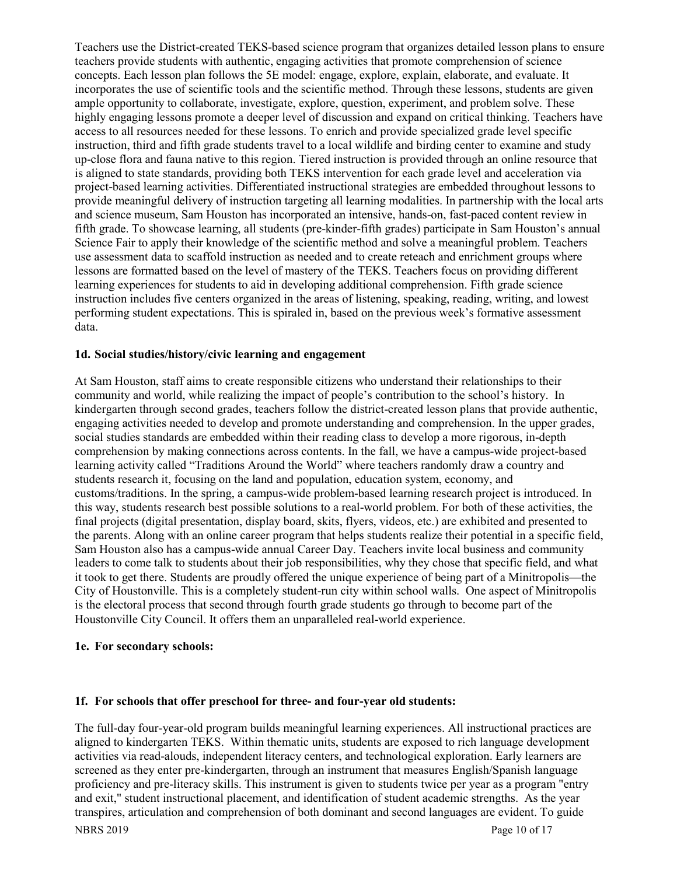Teachers use the District-created TEKS-based science program that organizes detailed lesson plans to ensure teachers provide students with authentic, engaging activities that promote comprehension of science concepts. Each lesson plan follows the 5E model: engage, explore, explain, elaborate, and evaluate. It incorporates the use of scientific tools and the scientific method. Through these lessons, students are given ample opportunity to collaborate, investigate, explore, question, experiment, and problem solve. These highly engaging lessons promote a deeper level of discussion and expand on critical thinking. Teachers have access to all resources needed for these lessons. To enrich and provide specialized grade level specific instruction, third and fifth grade students travel to a local wildlife and birding center to examine and study up-close flora and fauna native to this region. Tiered instruction is provided through an online resource that is aligned to state standards, providing both TEKS intervention for each grade level and acceleration via project-based learning activities. Differentiated instructional strategies are embedded throughout lessons to provide meaningful delivery of instruction targeting all learning modalities. In partnership with the local arts and science museum, Sam Houston has incorporated an intensive, hands-on, fast-paced content review in fifth grade. To showcase learning, all students (pre-kinder-fifth grades) participate in Sam Houston's annual Science Fair to apply their knowledge of the scientific method and solve a meaningful problem. Teachers use assessment data to scaffold instruction as needed and to create reteach and enrichment groups where lessons are formatted based on the level of mastery of the TEKS. Teachers focus on providing different learning experiences for students to aid in developing additional comprehension. Fifth grade science instruction includes five centers organized in the areas of listening, speaking, reading, writing, and lowest performing student expectations. This is spiraled in, based on the previous week's formative assessment data.

#### **1d. Social studies/history/civic learning and engagement**

At Sam Houston, staff aims to create responsible citizens who understand their relationships to their community and world, while realizing the impact of people's contribution to the school's history. In kindergarten through second grades, teachers follow the district-created lesson plans that provide authentic, engaging activities needed to develop and promote understanding and comprehension. In the upper grades, social studies standards are embedded within their reading class to develop a more rigorous, in-depth comprehension by making connections across contents. In the fall, we have a campus-wide project-based learning activity called "Traditions Around the World" where teachers randomly draw a country and students research it, focusing on the land and population, education system, economy, and customs/traditions. In the spring, a campus-wide problem-based learning research project is introduced. In this way, students research best possible solutions to a real-world problem. For both of these activities, the final projects (digital presentation, display board, skits, flyers, videos, etc.) are exhibited and presented to the parents. Along with an online career program that helps students realize their potential in a specific field, Sam Houston also has a campus-wide annual Career Day. Teachers invite local business and community leaders to come talk to students about their job responsibilities, why they chose that specific field, and what it took to get there. Students are proudly offered the unique experience of being part of a Minitropolis—the City of Houstonville. This is a completely student-run city within school walls. One aspect of Minitropolis is the electoral process that second through fourth grade students go through to become part of the Houstonville City Council. It offers them an unparalleled real-world experience.

#### **1e. For secondary schools:**

#### **1f. For schools that offer preschool for three- and four-year old students:**

The full-day four-year-old program builds meaningful learning experiences. All instructional practices are aligned to kindergarten TEKS. Within thematic units, students are exposed to rich language development activities via read-alouds, independent literacy centers, and technological exploration. Early learners are screened as they enter pre-kindergarten, through an instrument that measures English/Spanish language proficiency and pre-literacy skills. This instrument is given to students twice per year as a program "entry and exit," student instructional placement, and identification of student academic strengths. As the year transpires, articulation and comprehension of both dominant and second languages are evident. To guide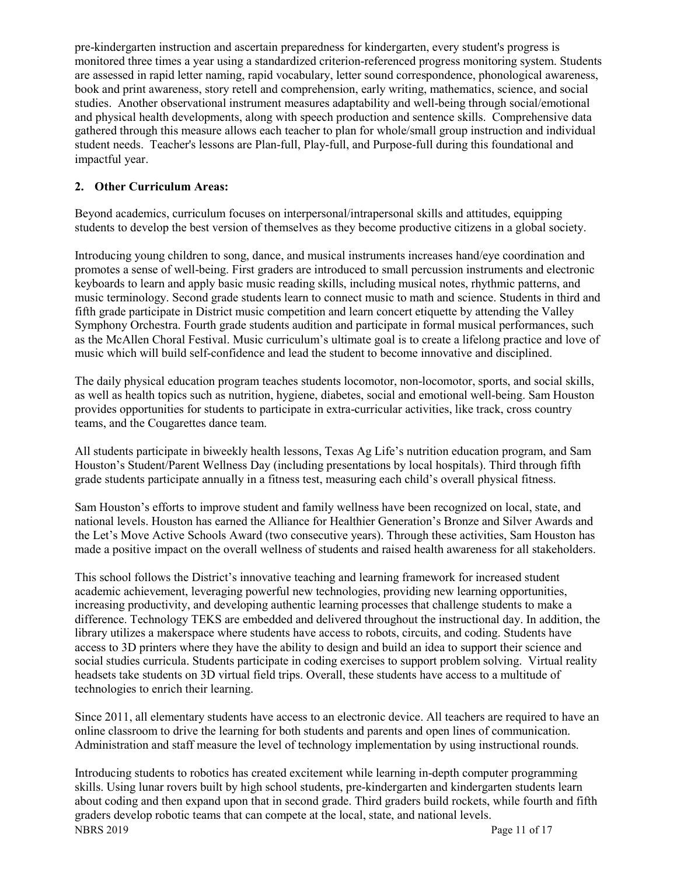pre-kindergarten instruction and ascertain preparedness for kindergarten, every student's progress is monitored three times a year using a standardized criterion-referenced progress monitoring system. Students are assessed in rapid letter naming, rapid vocabulary, letter sound correspondence, phonological awareness, book and print awareness, story retell and comprehension, early writing, mathematics, science, and social studies. Another observational instrument measures adaptability and well-being through social/emotional and physical health developments, along with speech production and sentence skills. Comprehensive data gathered through this measure allows each teacher to plan for whole/small group instruction and individual student needs. Teacher's lessons are Plan-full, Play-full, and Purpose-full during this foundational and impactful year.

# **2. Other Curriculum Areas:**

Beyond academics, curriculum focuses on interpersonal/intrapersonal skills and attitudes, equipping students to develop the best version of themselves as they become productive citizens in a global society.

Introducing young children to song, dance, and musical instruments increases hand/eye coordination and promotes a sense of well-being. First graders are introduced to small percussion instruments and electronic keyboards to learn and apply basic music reading skills, including musical notes, rhythmic patterns, and music terminology. Second grade students learn to connect music to math and science. Students in third and fifth grade participate in District music competition and learn concert etiquette by attending the Valley Symphony Orchestra. Fourth grade students audition and participate in formal musical performances, such as the McAllen Choral Festival. Music curriculum's ultimate goal is to create a lifelong practice and love of music which will build self-confidence and lead the student to become innovative and disciplined.

The daily physical education program teaches students locomotor, non-locomotor, sports, and social skills, as well as health topics such as nutrition, hygiene, diabetes, social and emotional well-being. Sam Houston provides opportunities for students to participate in extra-curricular activities, like track, cross country teams, and the Cougarettes dance team.

All students participate in biweekly health lessons, Texas Ag Life's nutrition education program, and Sam Houston's Student/Parent Wellness Day (including presentations by local hospitals). Third through fifth grade students participate annually in a fitness test, measuring each child's overall physical fitness.

Sam Houston's efforts to improve student and family wellness have been recognized on local, state, and national levels. Houston has earned the Alliance for Healthier Generation's Bronze and Silver Awards and the Let's Move Active Schools Award (two consecutive years). Through these activities, Sam Houston has made a positive impact on the overall wellness of students and raised health awareness for all stakeholders.

This school follows the District's innovative teaching and learning framework for increased student academic achievement, leveraging powerful new technologies, providing new learning opportunities, increasing productivity, and developing authentic learning processes that challenge students to make a difference. Technology TEKS are embedded and delivered throughout the instructional day. In addition, the library utilizes a makerspace where students have access to robots, circuits, and coding. Students have access to 3D printers where they have the ability to design and build an idea to support their science and social studies curricula. Students participate in coding exercises to support problem solving. Virtual reality headsets take students on 3D virtual field trips. Overall, these students have access to a multitude of technologies to enrich their learning.

Since 2011, all elementary students have access to an electronic device. All teachers are required to have an online classroom to drive the learning for both students and parents and open lines of communication. Administration and staff measure the level of technology implementation by using instructional rounds.

NBRS 2019 Page 11 of 17 Introducing students to robotics has created excitement while learning in-depth computer programming skills. Using lunar rovers built by high school students, pre-kindergarten and kindergarten students learn about coding and then expand upon that in second grade. Third graders build rockets, while fourth and fifth graders develop robotic teams that can compete at the local, state, and national levels.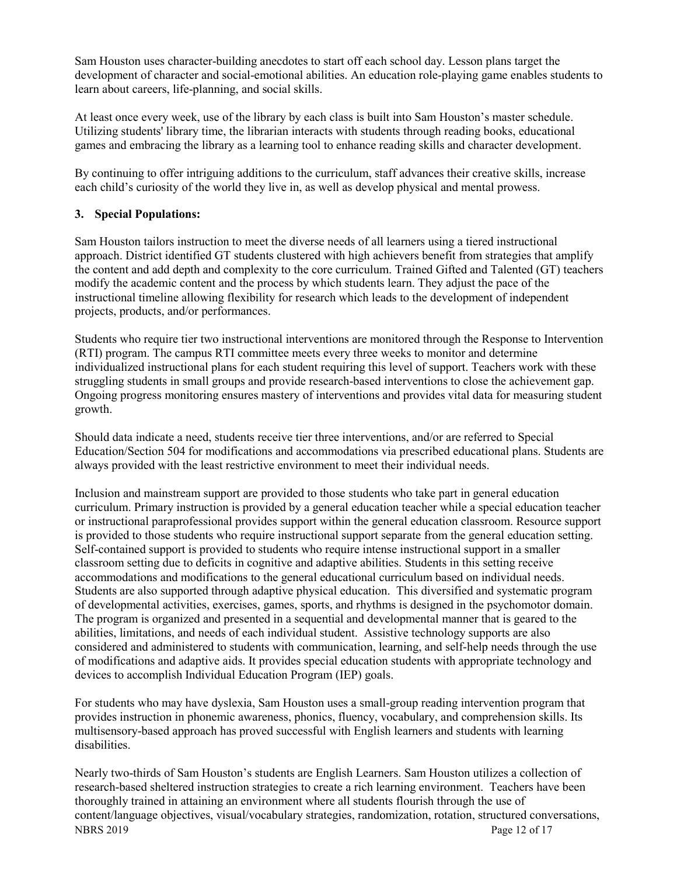Sam Houston uses character-building anecdotes to start off each school day. Lesson plans target the development of character and social-emotional abilities. An education role-playing game enables students to learn about careers, life-planning, and social skills.

At least once every week, use of the library by each class is built into Sam Houston's master schedule. Utilizing students' library time, the librarian interacts with students through reading books, educational games and embracing the library as a learning tool to enhance reading skills and character development.

By continuing to offer intriguing additions to the curriculum, staff advances their creative skills, increase each child's curiosity of the world they live in, as well as develop physical and mental prowess.

### **3. Special Populations:**

Sam Houston tailors instruction to meet the diverse needs of all learners using a tiered instructional approach. District identified GT students clustered with high achievers benefit from strategies that amplify the content and add depth and complexity to the core curriculum. Trained Gifted and Talented (GT) teachers modify the academic content and the process by which students learn. They adjust the pace of the instructional timeline allowing flexibility for research which leads to the development of independent projects, products, and/or performances.

Students who require tier two instructional interventions are monitored through the Response to Intervention (RTI) program. The campus RTI committee meets every three weeks to monitor and determine individualized instructional plans for each student requiring this level of support. Teachers work with these struggling students in small groups and provide research-based interventions to close the achievement gap. Ongoing progress monitoring ensures mastery of interventions and provides vital data for measuring student growth.

Should data indicate a need, students receive tier three interventions, and/or are referred to Special Education/Section 504 for modifications and accommodations via prescribed educational plans. Students are always provided with the least restrictive environment to meet their individual needs.

Inclusion and mainstream support are provided to those students who take part in general education curriculum. Primary instruction is provided by a general education teacher while a special education teacher or instructional paraprofessional provides support within the general education classroom. Resource support is provided to those students who require instructional support separate from the general education setting. Self-contained support is provided to students who require intense instructional support in a smaller classroom setting due to deficits in cognitive and adaptive abilities. Students in this setting receive accommodations and modifications to the general educational curriculum based on individual needs. Students are also supported through adaptive physical education. This diversified and systematic program of developmental activities, exercises, games, sports, and rhythms is designed in the psychomotor domain. The program is organized and presented in a sequential and developmental manner that is geared to the abilities, limitations, and needs of each individual student. Assistive technology supports are also considered and administered to students with communication, learning, and self-help needs through the use of modifications and adaptive aids. It provides special education students with appropriate technology and devices to accomplish Individual Education Program (IEP) goals.

For students who may have dyslexia, Sam Houston uses a small-group reading intervention program that provides instruction in phonemic awareness, phonics, fluency, vocabulary, and comprehension skills. Its multisensory-based approach has proved successful with English learners and students with learning disabilities.

NBRS 2019 Page 12 of 17 Nearly two-thirds of Sam Houston's students are English Learners. Sam Houston utilizes a collection of research-based sheltered instruction strategies to create a rich learning environment. Teachers have been thoroughly trained in attaining an environment where all students flourish through the use of content/language objectives, visual/vocabulary strategies, randomization, rotation, structured conversations,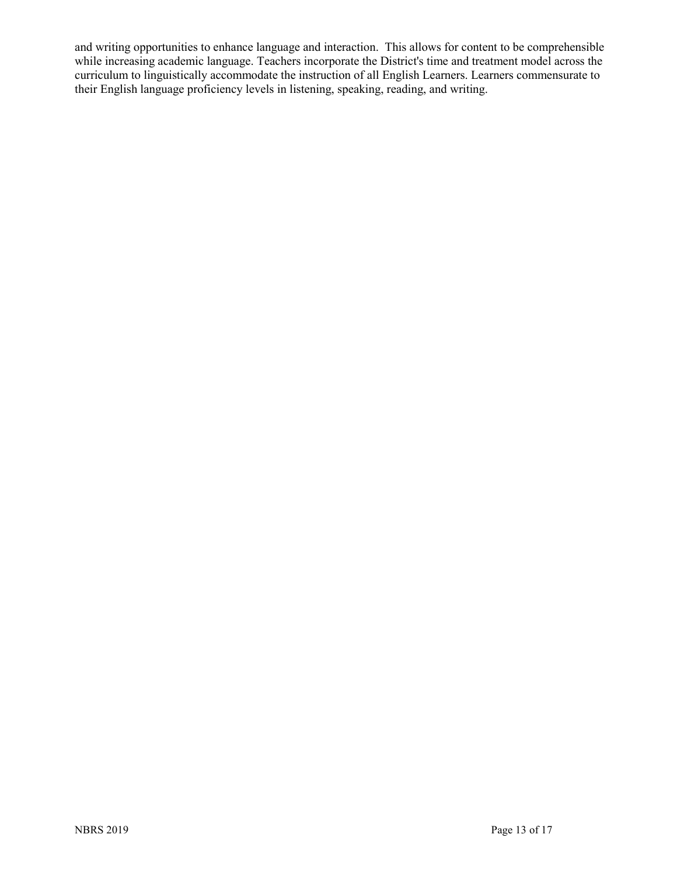and writing opportunities to enhance language and interaction. This allows for content to be comprehensible while increasing academic language. Teachers incorporate the District's time and treatment model across the curriculum to linguistically accommodate the instruction of all English Learners. Learners commensurate to their English language proficiency levels in listening, speaking, reading, and writing.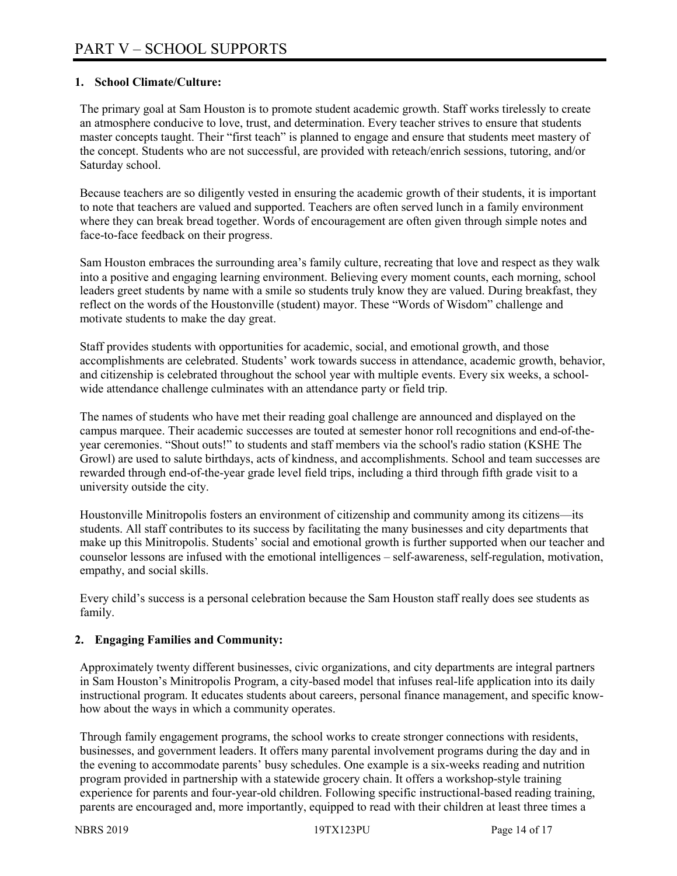# **1. School Climate/Culture:**

The primary goal at Sam Houston is to promote student academic growth. Staff works tirelessly to create an atmosphere conducive to love, trust, and determination. Every teacher strives to ensure that students master concepts taught. Their "first teach" is planned to engage and ensure that students meet mastery of the concept. Students who are not successful, are provided with reteach/enrich sessions, tutoring, and/or Saturday school.

Because teachers are so diligently vested in ensuring the academic growth of their students, it is important to note that teachers are valued and supported. Teachers are often served lunch in a family environment where they can break bread together. Words of encouragement are often given through simple notes and face-to-face feedback on their progress.

Sam Houston embraces the surrounding area's family culture, recreating that love and respect as they walk into a positive and engaging learning environment. Believing every moment counts, each morning, school leaders greet students by name with a smile so students truly know they are valued. During breakfast, they reflect on the words of the Houstonville (student) mayor. These "Words of Wisdom" challenge and motivate students to make the day great.

Staff provides students with opportunities for academic, social, and emotional growth, and those accomplishments are celebrated. Students' work towards success in attendance, academic growth, behavior, and citizenship is celebrated throughout the school year with multiple events. Every six weeks, a schoolwide attendance challenge culminates with an attendance party or field trip.

The names of students who have met their reading goal challenge are announced and displayed on the campus marquee. Their academic successes are touted at semester honor roll recognitions and end-of-theyear ceremonies. "Shout outs!" to students and staff members via the school's radio station (KSHE The Growl) are used to salute birthdays, acts of kindness, and accomplishments. School and team successes are rewarded through end-of-the-year grade level field trips, including a third through fifth grade visit to a university outside the city.

Houstonville Minitropolis fosters an environment of citizenship and community among its citizens—its students. All staff contributes to its success by facilitating the many businesses and city departments that make up this Minitropolis. Students' social and emotional growth is further supported when our teacher and counselor lessons are infused with the emotional intelligences – self-awareness, self-regulation, motivation, empathy, and social skills.

Every child's success is a personal celebration because the Sam Houston staff really does see students as family.

# **2. Engaging Families and Community:**

Approximately twenty different businesses, civic organizations, and city departments are integral partners in Sam Houston's Minitropolis Program, a city-based model that infuses real-life application into its daily instructional program. It educates students about careers, personal finance management, and specific knowhow about the ways in which a community operates.

Through family engagement programs, the school works to create stronger connections with residents, businesses, and government leaders. It offers many parental involvement programs during the day and in the evening to accommodate parents' busy schedules. One example is a six-weeks reading and nutrition program provided in partnership with a statewide grocery chain. It offers a workshop-style training experience for parents and four-year-old children. Following specific instructional-based reading training, parents are encouraged and, more importantly, equipped to read with their children at least three times a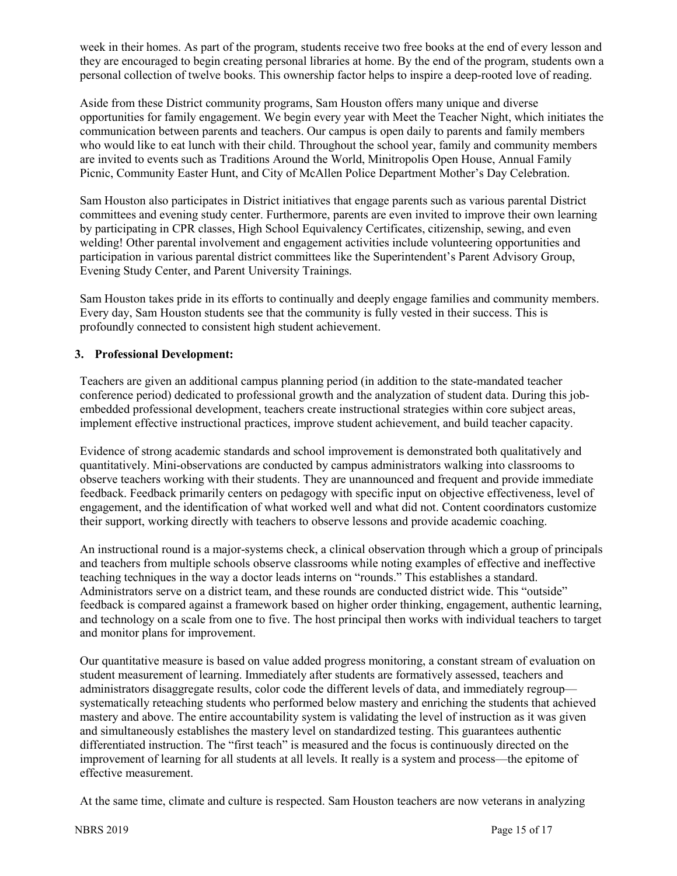week in their homes. As part of the program, students receive two free books at the end of every lesson and they are encouraged to begin creating personal libraries at home. By the end of the program, students own a personal collection of twelve books. This ownership factor helps to inspire a deep-rooted love of reading.

Aside from these District community programs, Sam Houston offers many unique and diverse opportunities for family engagement. We begin every year with Meet the Teacher Night, which initiates the communication between parents and teachers. Our campus is open daily to parents and family members who would like to eat lunch with their child. Throughout the school year, family and community members are invited to events such as Traditions Around the World, Minitropolis Open House, Annual Family Picnic, Community Easter Hunt, and City of McAllen Police Department Mother's Day Celebration.

Sam Houston also participates in District initiatives that engage parents such as various parental District committees and evening study center. Furthermore, parents are even invited to improve their own learning by participating in CPR classes, High School Equivalency Certificates, citizenship, sewing, and even welding! Other parental involvement and engagement activities include volunteering opportunities and participation in various parental district committees like the Superintendent's Parent Advisory Group, Evening Study Center, and Parent University Trainings.

Sam Houston takes pride in its efforts to continually and deeply engage families and community members. Every day, Sam Houston students see that the community is fully vested in their success. This is profoundly connected to consistent high student achievement.

### **3. Professional Development:**

Teachers are given an additional campus planning period (in addition to the state-mandated teacher conference period) dedicated to professional growth and the analyzation of student data. During this jobembedded professional development, teachers create instructional strategies within core subject areas, implement effective instructional practices, improve student achievement, and build teacher capacity.

Evidence of strong academic standards and school improvement is demonstrated both qualitatively and quantitatively. Mini-observations are conducted by campus administrators walking into classrooms to observe teachers working with their students. They are unannounced and frequent and provide immediate feedback. Feedback primarily centers on pedagogy with specific input on objective effectiveness, level of engagement, and the identification of what worked well and what did not. Content coordinators customize their support, working directly with teachers to observe lessons and provide academic coaching.

An instructional round is a major-systems check, a clinical observation through which a group of principals and teachers from multiple schools observe classrooms while noting examples of effective and ineffective teaching techniques in the way a doctor leads interns on "rounds." This establishes a standard. Administrators serve on a district team, and these rounds are conducted district wide. This "outside" feedback is compared against a framework based on higher order thinking, engagement, authentic learning, and technology on a scale from one to five. The host principal then works with individual teachers to target and monitor plans for improvement.

Our quantitative measure is based on value added progress monitoring, a constant stream of evaluation on student measurement of learning. Immediately after students are formatively assessed, teachers and administrators disaggregate results, color code the different levels of data, and immediately regroup systematically reteaching students who performed below mastery and enriching the students that achieved mastery and above. The entire accountability system is validating the level of instruction as it was given and simultaneously establishes the mastery level on standardized testing. This guarantees authentic differentiated instruction. The "first teach" is measured and the focus is continuously directed on the improvement of learning for all students at all levels. It really is a system and process—the epitome of effective measurement.

At the same time, climate and culture is respected. Sam Houston teachers are now veterans in analyzing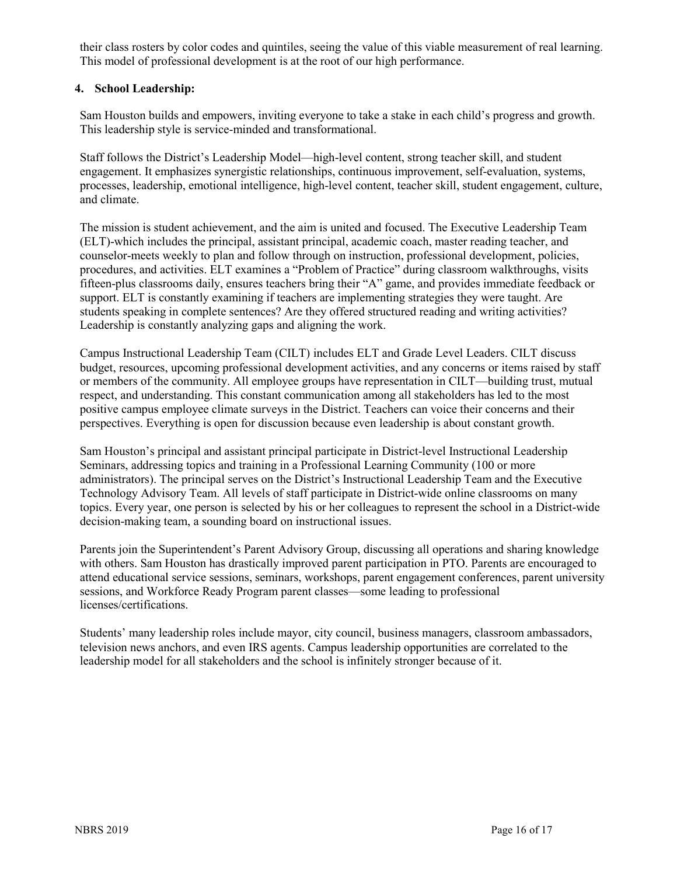their class rosters by color codes and quintiles, seeing the value of this viable measurement of real learning. This model of professional development is at the root of our high performance.

### **4. School Leadership:**

Sam Houston builds and empowers, inviting everyone to take a stake in each child's progress and growth. This leadership style is service-minded and transformational.

Staff follows the District's Leadership Model—high-level content, strong teacher skill, and student engagement. It emphasizes synergistic relationships, continuous improvement, self-evaluation, systems, processes, leadership, emotional intelligence, high-level content, teacher skill, student engagement, culture, and climate.

The mission is student achievement, and the aim is united and focused. The Executive Leadership Team (ELT)-which includes the principal, assistant principal, academic coach, master reading teacher, and counselor-meets weekly to plan and follow through on instruction, professional development, policies, procedures, and activities. ELT examines a "Problem of Practice" during classroom walkthroughs, visits fifteen-plus classrooms daily, ensures teachers bring their "A" game, and provides immediate feedback or support. ELT is constantly examining if teachers are implementing strategies they were taught. Are students speaking in complete sentences? Are they offered structured reading and writing activities? Leadership is constantly analyzing gaps and aligning the work.

Campus Instructional Leadership Team (CILT) includes ELT and Grade Level Leaders. CILT discuss budget, resources, upcoming professional development activities, and any concerns or items raised by staff or members of the community. All employee groups have representation in CILT—building trust, mutual respect, and understanding. This constant communication among all stakeholders has led to the most positive campus employee climate surveys in the District. Teachers can voice their concerns and their perspectives. Everything is open for discussion because even leadership is about constant growth.

Sam Houston's principal and assistant principal participate in District-level Instructional Leadership Seminars, addressing topics and training in a Professional Learning Community (100 or more administrators). The principal serves on the District's Instructional Leadership Team and the Executive Technology Advisory Team. All levels of staff participate in District-wide online classrooms on many topics. Every year, one person is selected by his or her colleagues to represent the school in a District-wide decision-making team, a sounding board on instructional issues.

Parents join the Superintendent's Parent Advisory Group, discussing all operations and sharing knowledge with others. Sam Houston has drastically improved parent participation in PTO. Parents are encouraged to attend educational service sessions, seminars, workshops, parent engagement conferences, parent university sessions, and Workforce Ready Program parent classes—some leading to professional licenses/certifications.

Students' many leadership roles include mayor, city council, business managers, classroom ambassadors, television news anchors, and even IRS agents. Campus leadership opportunities are correlated to the leadership model for all stakeholders and the school is infinitely stronger because of it.